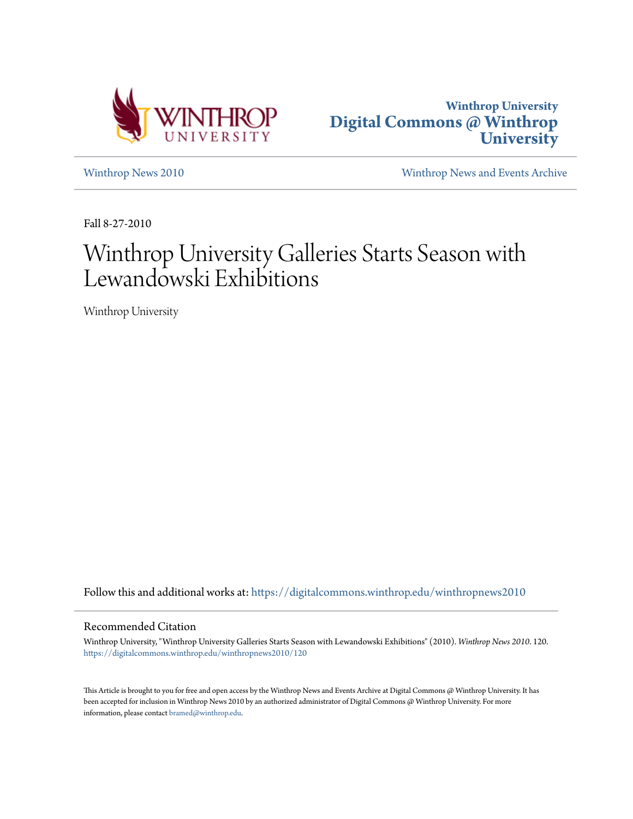



[Winthrop News 2010](https://digitalcommons.winthrop.edu/winthropnews2010?utm_source=digitalcommons.winthrop.edu%2Fwinthropnews2010%2F120&utm_medium=PDF&utm_campaign=PDFCoverPages) [Winthrop News and Events Archive](https://digitalcommons.winthrop.edu/winthropnewsarchives?utm_source=digitalcommons.winthrop.edu%2Fwinthropnews2010%2F120&utm_medium=PDF&utm_campaign=PDFCoverPages)

Fall 8-27-2010

# Winthrop University Galleries Starts Season with Lewandowski Exhibitions

Winthrop University

Follow this and additional works at: [https://digitalcommons.winthrop.edu/winthropnews2010](https://digitalcommons.winthrop.edu/winthropnews2010?utm_source=digitalcommons.winthrop.edu%2Fwinthropnews2010%2F120&utm_medium=PDF&utm_campaign=PDFCoverPages)

#### Recommended Citation

Winthrop University, "Winthrop University Galleries Starts Season with Lewandowski Exhibitions" (2010). *Winthrop News 2010*. 120. [https://digitalcommons.winthrop.edu/winthropnews2010/120](https://digitalcommons.winthrop.edu/winthropnews2010/120?utm_source=digitalcommons.winthrop.edu%2Fwinthropnews2010%2F120&utm_medium=PDF&utm_campaign=PDFCoverPages)

This Article is brought to you for free and open access by the Winthrop News and Events Archive at Digital Commons @ Winthrop University. It has been accepted for inclusion in Winthrop News 2010 by an authorized administrator of Digital Commons @ Winthrop University. For more information, please contact [bramed@winthrop.edu](mailto:bramed@winthrop.edu).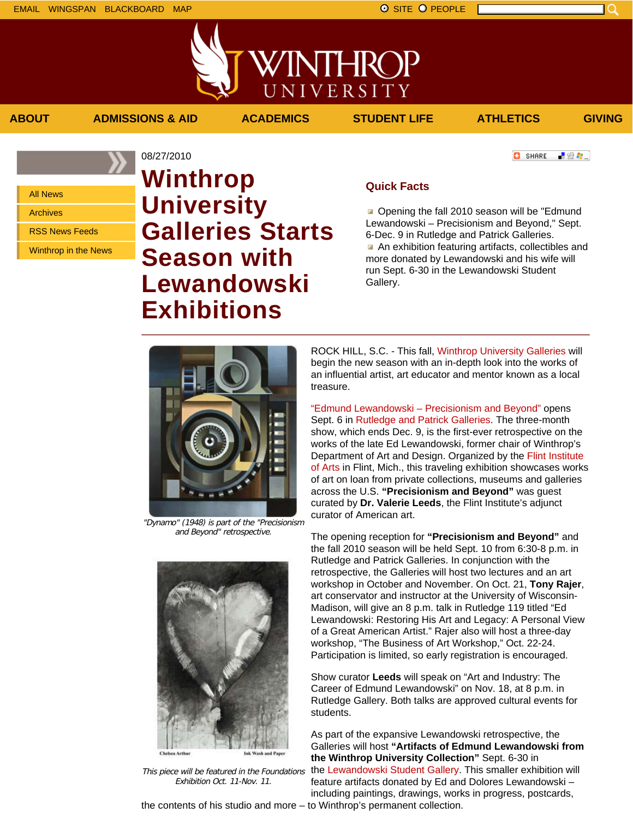■ 80 ●

**C** SHARE

All News

Archives

RSS News Feeds

Winthrop in the News

## 08/27/2010 **Winthrop University Galleries Starts Season with Lewandowski Exhibitions**

### **Quick Facts**

**ABOUT ADMISSIONS & AID ACADEMICS STUDENT LIFE ATHLETICS GIVING**

VINTHROP

UNIVERSITY

Opening the fall 2010 season will be "Edmund" Lewandowski – Precisionism and Beyond," Sept. 6-Dec. 9 in Rutledge and Patrick Galleries. An exhibition featuring artifacts, collectibles and more donated by Lewandowski and his wife will run Sept. 6-30 in the Lewandowski Student Gallery.

"Dynamo" (1948) is part of the "Precisionism

and Beyond" retrospective.



This piece will be featured in the Foundations Exhibition Oct. 11-Nov. 11.

ROCK HILL, S.C. - This fall, Winthrop University Galleries will begin the new season with an in-depth look into the works of an influential artist, art educator and mentor known as a local treasure.

"Edmund Lewandowski – Precisionism and Beyond" opens Sept. 6 in Rutledge and Patrick Galleries. The three-month show, which ends Dec. 9, is the first-ever retrospective on the works of the late Ed Lewandowski, former chair of Winthrop's Department of Art and Design. Organized by the Flint Institute of Arts in Flint, Mich., this traveling exhibition showcases works of art on loan from private collections, museums and galleries across the U.S. **"Precisionism and Beyond"** was guest curated by **Dr. Valerie Leeds**, the Flint Institute's adjunct curator of American art.

The opening reception for **"Precisionism and Beyond"** and the fall 2010 season will be held Sept. 10 from 6:30-8 p.m. in Rutledge and Patrick Galleries. In conjunction with the retrospective, the Galleries will host two lectures and an art workshop in October and November. On Oct. 21, **Tony Rajer**, art conservator and instructor at the University of Wisconsin-Madison, will give an 8 p.m. talk in Rutledge 119 titled "Ed Lewandowski: Restoring His Art and Legacy: A Personal View of a Great American Artist." Rajer also will host a three-day workshop, "The Business of Art Workshop," Oct. 22-24. Participation is limited, so early registration is encouraged.

Show curator **Leeds** will speak on "Art and Industry: The Career of Edmund Lewandowski" on Nov. 18, at 8 p.m. in Rutledge Gallery. Both talks are approved cultural events for students.

As part of the expansive Lewandowski retrospective, the Galleries will host **"Artifacts of Edmund Lewandowski from the Winthrop University Collection"** Sept. 6-30 in the Lewandowski Student Gallery. This smaller exhibition will feature artifacts donated by Ed and Dolores Lewandowski – including paintings, drawings, works in progress, postcards,

the contents of his studio and more – to Winthrop's permanent collection.